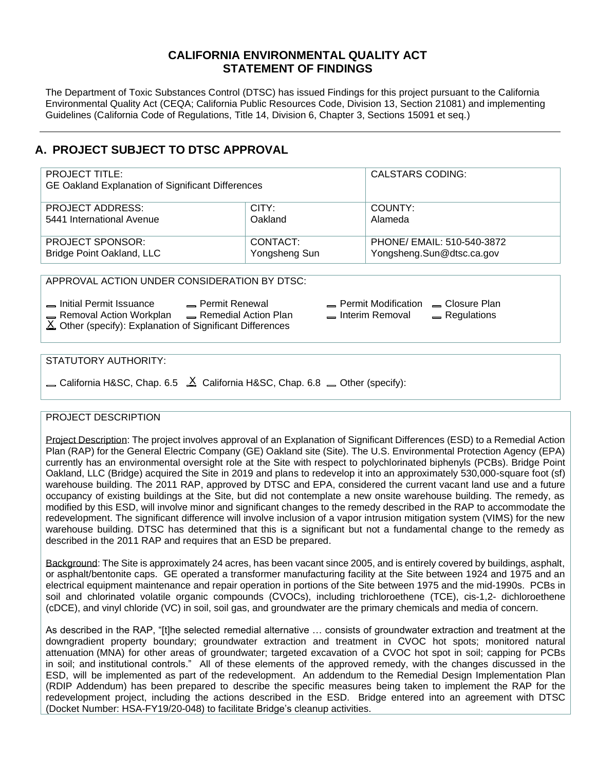## **CALIFORNIA ENVIRONMENTAL QUALITY ACT STATEMENT OF FINDINGS**

The Department of Toxic Substances Control (DTSC) has issued Findings for this project pursuant to the California Environmental Quality Act (CEQA; California Public Resources Code, Division 13, Section 21081) and implementing Guidelines (California Code of Regulations, Title 14, Division 6, Chapter 3, Sections 15091 et seq.)

# **A. PROJECT SUBJECT TO DTSC APPROVAL**

| <b>PROJECT TITLE:</b><br>GE Oakland Explanation of Significant Differences |               | <b>CALSTARS CODING:</b>    |
|----------------------------------------------------------------------------|---------------|----------------------------|
| <b>PROJECT ADDRESS:</b>                                                    | CITY:         | COUNTY:                    |
| 5441 International Avenue                                                  | Oakland       | Alameda                    |
| <b>PROJECT SPONSOR:</b>                                                    | CONTACT:      | PHONE/ EMAIL: 510-540-3872 |
| Bridge Point Oakland, LLC                                                  | Yongsheng Sun | Yongsheng.Sun@dtsc.ca.gov  |

APPROVAL ACTION UNDER CONSIDERATION BY DTSC:

Initial Permit Issuance Permit Renewal Permit Modification Closure Plan Removal Action Workplan Remedial Action Plan Interim Removal Regulations

 $\underline{\mathsf{X}}$  Other (specify): Explanation of Significant Differences

### STATUTORY AUTHORITY:

California H&SC, Chap. 6.5  $\Delta$  California H&SC, Chap. 6.8  $\equiv$  Other (specify):

### PROJECT DESCRIPTION

Project Description: The project involves approval of an Explanation of Significant Differences (ESD) to a Remedial Action Plan (RAP) for the General Electric Company (GE) Oakland site (Site). The U.S. Environmental Protection Agency (EPA) currently has an environmental oversight role at the Site with respect to polychlorinated biphenyls (PCBs). Bridge Point Oakland, LLC (Bridge) acquired the Site in 2019 and plans to redevelop it into an approximately 530,000-square foot (sf) warehouse building. The 2011 RAP, approved by DTSC and EPA, considered the current vacant land use and a future occupancy of existing buildings at the Site, but did not contemplate a new onsite warehouse building. The remedy, as modified by this ESD, will involve minor and significant changes to the remedy described in the RAP to accommodate the redevelopment. The significant difference will involve inclusion of a vapor intrusion mitigation system (VIMS) for the new warehouse building. DTSC has determined that this is a significant but not a fundamental change to the remedy as described in the 2011 RAP and requires that an ESD be prepared.

Background: The Site is approximately 24 acres, has been vacant since 2005, and is entirely covered by buildings, asphalt, or asphalt/bentonite caps. GE operated a transformer manufacturing facility at the Site between 1924 and 1975 and an electrical equipment maintenance and repair operation in portions of the Site between 1975 and the mid-1990s. PCBs in soil and chlorinated volatile organic compounds (CVOCs), including trichloroethene (TCE), cis-1,2- dichloroethene (cDCE), and vinyl chloride (VC) in soil, soil gas, and groundwater are the primary chemicals and media of concern.

As described in the RAP, "[t]he selected remedial alternative … consists of groundwater extraction and treatment at the downgradient property boundary; groundwater extraction and treatment in CVOC hot spots; monitored natural attenuation (MNA) for other areas of groundwater; targeted excavation of a CVOC hot spot in soil; capping for PCBs in soil; and institutional controls." All of these elements of the approved remedy, with the changes discussed in the ESD, will be implemented as part of the redevelopment. An addendum to the Remedial Design Implementation Plan (RDIP Addendum) has been prepared to describe the specific measures being taken to implement the RAP for the redevelopment project, including the actions described in the ESD. Bridge entered into an agreement with DTSC (Docket Number: HSA-FY19/20-048) to facilitate Bridge's cleanup activities.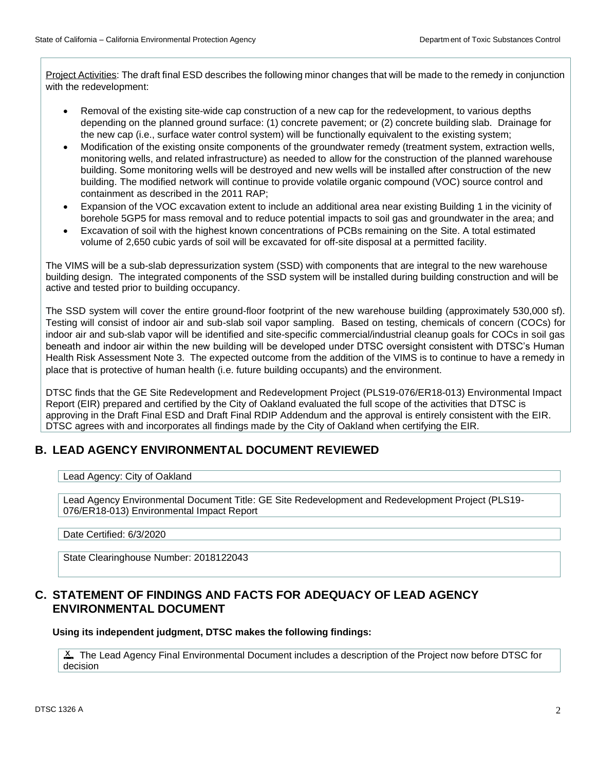Project Activities: The draft final ESD describes the following minor changes that will be made to the remedy in conjunction with the redevelopment:

- Removal of the existing site-wide cap construction of a new cap for the redevelopment, to various depths depending on the planned ground surface: (1) concrete pavement; or (2) concrete building slab. Drainage for the new cap (i.e., surface water control system) will be functionally equivalent to the existing system;
- Modification of the existing onsite components of the groundwater remedy (treatment system, extraction wells, monitoring wells, and related infrastructure) as needed to allow for the construction of the planned warehouse building. Some monitoring wells will be destroyed and new wells will be installed after construction of the new building. The modified network will continue to provide volatile organic compound (VOC) source control and containment as described in the 2011 RAP;
- Expansion of the VOC excavation extent to include an additional area near existing Building 1 in the vicinity of borehole 5GP5 for mass removal and to reduce potential impacts to soil gas and groundwater in the area; and
- Excavation of soil with the highest known concentrations of PCBs remaining on the Site. A total estimated volume of 2,650 cubic yards of soil will be excavated for off-site disposal at a permitted facility.

The VIMS will be a sub-slab depressurization system (SSD) with components that are integral to the new warehouse building design. The integrated components of the SSD system will be installed during building construction and will be active and tested prior to building occupancy.

The SSD system will cover the entire ground-floor footprint of the new warehouse building (approximately 530,000 sf). Testing will consist of indoor air and sub-slab soil vapor sampling. Based on testing, chemicals of concern (COCs) for indoor air and sub-slab vapor will be identified and site-specific commercial/industrial cleanup goals for COCs in soil gas beneath and indoor air within the new building will be developed under DTSC oversight consistent with DTSC's Human Health Risk Assessment Note 3. The expected outcome from the addition of the VIMS is to continue to have a remedy in place that is protective of human health (i.e. future building occupants) and the environment.

DTSC finds that the GE Site Redevelopment and Redevelopment Project (PLS19-076/ER18-013) Environmental Impact Report (EIR) prepared and certified by the City of Oakland evaluated the full scope of the activities that DTSC is approving in the Draft Final ESD and Draft Final RDIP Addendum and the approval is entirely consistent with the EIR. DTSC agrees with and incorporates all findings made by the City of Oakland when certifying the EIR.

## **B. LEAD AGENCY ENVIRONMENTAL DOCUMENT REVIEWED**

Lead Agency: City of Oakland

Lead Agency Environmental Document Title: GE Site Redevelopment and Redevelopment Project (PLS19- 076/ER18-013) Environmental Impact Report

Date Certified: 6/3/2020

State Clearinghouse Number: 2018122043

## **C. STATEMENT OF FINDINGS AND FACTS FOR ADEQUACY OF LEAD AGENCY ENVIRONMENTAL DOCUMENT**

**Using its independent judgment, DTSC makes the following findings:**

X The Lead Agency Final Environmental Document includes a description of the Project now before DTSC for decision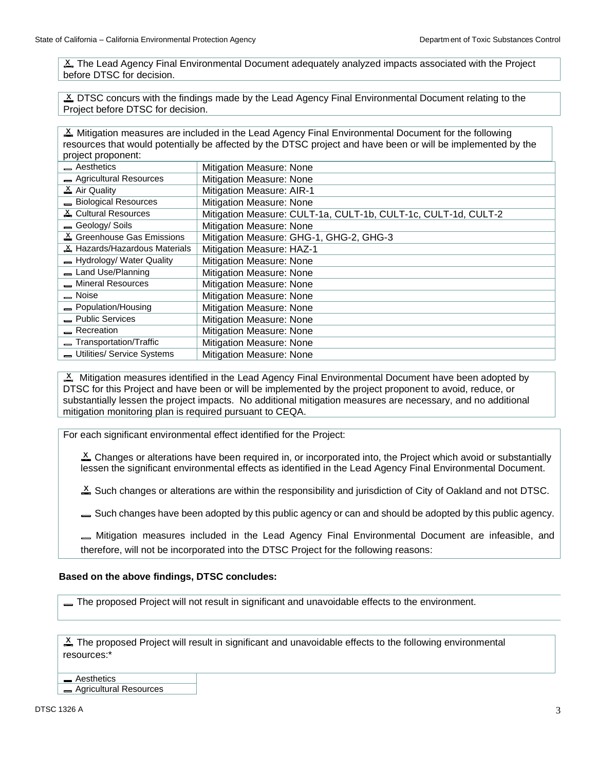X The Lead Agency Final Environmental Document adequately analyzed impacts associated with the Project before DTSC for decision.

S DTSC concurs with the findings made by the Lead Agency Final Environmental Document relating to the Project before DTSC for decision.

X Mitigation measures are included in the Lead Agency Final Environmental Document for the following resources that would potentially be affected by the DTSC project and have been or will be implemented by the project proponent:

| Aesthetics                    | Mitigation Measure: None                                       |
|-------------------------------|----------------------------------------------------------------|
| Agricultural Resources        | Mitigation Measure: None                                       |
| $\Delta$ Air Quality          | Mitigation Measure: AIR-1                                      |
| Biological Resources          | Mitigation Measure: None                                       |
| & Cultural Resources          | Mitigation Measure: CULT-1a, CULT-1b, CULT-1c, CULT-1d, CULT-2 |
| - Geology/ Soils              | Mitigation Measure: None                                       |
| & Greenhouse Gas Emissions    | Mitigation Measure: GHG-1, GHG-2, GHG-3                        |
| A Hazards/Hazardous Materials | Mitigation Measure: HAZ-1                                      |
| - Hydrology/ Water Quality    | Mitigation Measure: None                                       |
| - Land Use/Planning           | Mitigation Measure: None                                       |
| - Mineral Resources           | Mitigation Measure: None                                       |
| - Noise                       | Mitigation Measure: None                                       |
| - Population/Housing          | Mitigation Measure: None                                       |
| - Public Services             | Mitigation Measure: None                                       |
| $R$ Recreation                | Mitigation Measure: None                                       |
| Transportation/Traffic        | Mitigation Measure: None                                       |
| Utilities/ Service Systems    | Mitigation Measure: None                                       |

 $X$  Mitigation measures identified in the Lead Agency Final Environmental Document have been adopted by DTSC for this Project and have been or will be implemented by the project proponent to avoid, reduce, or substantially lessen the project impacts. No additional mitigation measures are necessary, and no additional mitigation monitoring plan is required pursuant to CEQA.

For each significant environmental effect identified for the Project:

 $\Sigma$  Changes or alterations have been required in, or incorporated into, the Project which avoid or substantially lessen the significant environmental effects as identified in the Lead Agency Final Environmental Document.

 $\Sigma$  Such changes or alterations are within the responsibility and jurisdiction of City of Oakland and not DTSC.

Such changes have been adopted by this public agency or can and should be adopted by this public agency.

Mitigation measures included in the Lead Agency Final Environmental Document are infeasible, and therefore, will not be incorporated into the DTSC Project for the following reasons:

#### **Based on the above findings, DTSC concludes:**

The proposed Project will not result in significant and unavoidable effects to the environment.

 $X$  The proposed Project will result in significant and unavoidable effects to the following environmental resources:\*

**Aesthetics** Agricultural Resources